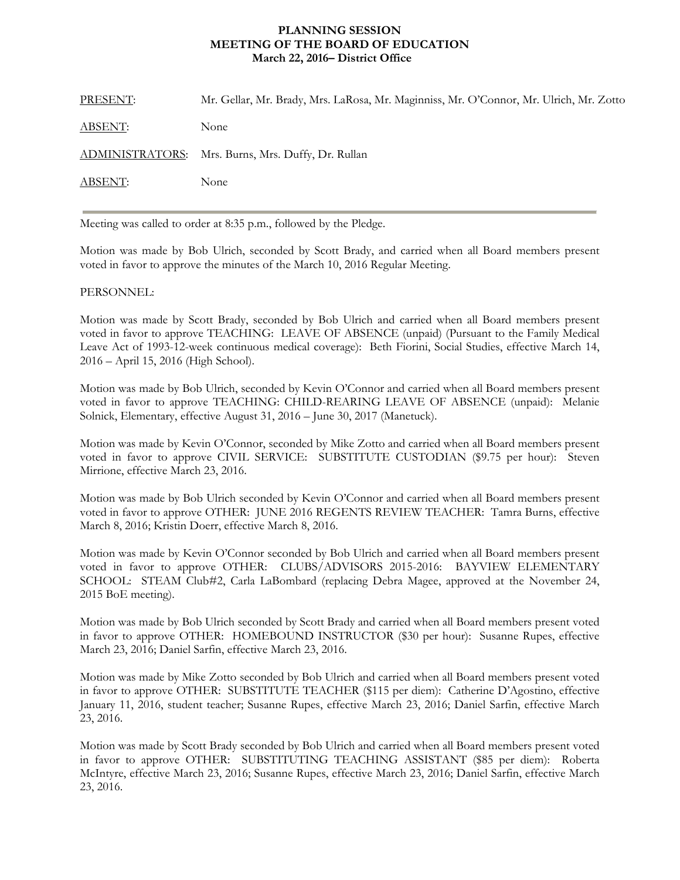## **MEETING OF THE BOARD OF EDUCATION PLANNING SESSION March 22, 2016– District Office**

| PRESENT:       | Mr. Gellar, Mr. Brady, Mrs. LaRosa, Mr. Maginniss, Mr. O'Connor, Mr. Ulrich, Mr. Zotto |
|----------------|----------------------------------------------------------------------------------------|
| <b>ABSENT:</b> | None                                                                                   |
|                | ADMINISTRATORS: Mrs. Burns, Mrs. Duffy, Dr. Rullan                                     |
| ABSENT:        | None                                                                                   |

Meeting was called to order at 8:35 p.m., followed by the Pledge.

Motion was made by Bob Ulrich, seconded by Scott Brady, and carried when all Board members present voted in favor to approve the minutes of the March 10, 2016 Regular Meeting.

## PERSONNEL:

Motion was made by Scott Brady, seconded by Bob Ulrich and carried when all Board members present voted in favor to approve TEACHING: LEAVE OF ABSENCE (unpaid) (Pursuant to the Family Medical Leave Act of 1993-12-week continuous medical coverage): Beth Fiorini, Social Studies, effective March 14, 2016 – April 15, 2016 (High School).

Motion was made by Bob Ulrich, seconded by Kevin O'Connor and carried when all Board members present voted in favor to approve TEACHING: CHILD-REARING LEAVE OF ABSENCE (unpaid): Melanie Solnick, Elementary, effective August 31, 2016 – June 30, 2017 (Manetuck).

Motion was made by Kevin O'Connor, seconded by Mike Zotto and carried when all Board members present voted in favor to approve CIVIL SERVICE: SUBSTITUTE CUSTODIAN (\$9.75 per hour): Steven Mirrione, effective March 23, 2016.

Motion was made by Bob Ulrich seconded by Kevin O'Connor and carried when all Board members present voted in favor to approve OTHER: JUNE 2016 REGENTS REVIEW TEACHER: Tamra Burns, effective March 8, 2016; Kristin Doerr, effective March 8, 2016.

Motion was made by Kevin O'Connor seconded by Bob Ulrich and carried when all Board members present voted in favor to approve OTHER: CLUBS/ADVISORS 2015-2016: BAYVIEW ELEMENTARY SCHOOL: STEAM Club#2, Carla LaBombard (replacing Debra Magee, approved at the November 24, 2015 BoE meeting).

Motion was made by Bob Ulrich seconded by Scott Brady and carried when all Board members present voted in favor to approve OTHER: HOMEBOUND INSTRUCTOR (\$30 per hour): Susanne Rupes, effective March 23, 2016; Daniel Sarfin, effective March 23, 2016.

Motion was made by Mike Zotto seconded by Bob Ulrich and carried when all Board members present voted in favor to approve OTHER: SUBSTITUTE TEACHER (\$115 per diem): Catherine D'Agostino, effective January 11, 2016, student teacher; Susanne Rupes, effective March 23, 2016; Daniel Sarfin, effective March 23, 2016.

Motion was made by Scott Brady seconded by Bob Ulrich and carried when all Board members present voted in favor to approve OTHER: SUBSTITUTING TEACHING ASSISTANT (\$85 per diem): Roberta McIntyre, effective March 23, 2016; Susanne Rupes, effective March 23, 2016; Daniel Sarfin, effective March 23, 2016.